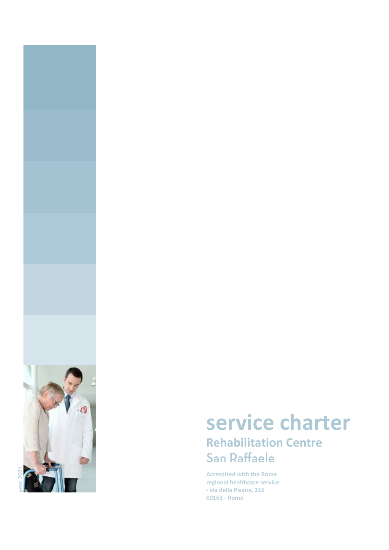

# **service charter Rehabilitation Centre**

**Accredited with the Rome regional healthcare service - via della Pisana, 216 00163 - Rome**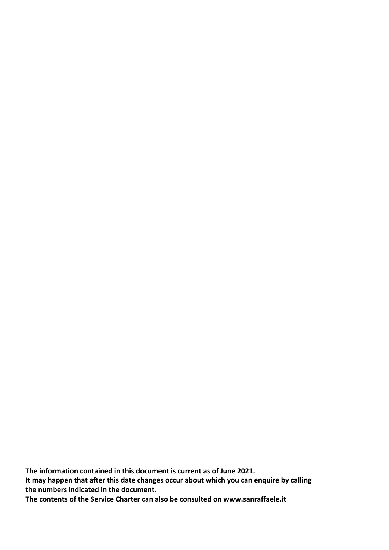**The information contained in this document is current as of June 2021. It may happen that after this date changes occur about which you can enquire by calling the numbers indicated in the document. The contents of the Service Charter can also be consulted on www.sanraffaele.it**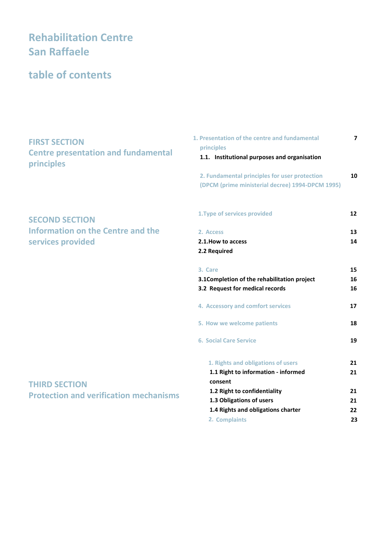# **Rehabilitation Centre San Raffaele**

# **table of contents**

## **FIRST SECTION Centre presentation and fundamental principles**

## **SECOND SECTION Information on the Centre and the services provided**

## **THIRD SECTION Protection and verification mechanisms**

| 1. Presentation of the centre and fundamental                                                                   | 7                    |
|-----------------------------------------------------------------------------------------------------------------|----------------------|
| principles<br>1.1. Institutional purposes and organisation                                                      |                      |
| 2. Fundamental principles for user protection                                                                   | 10                   |
| (DPCM (prime ministerial decree) 1994-DPCM 1995)                                                                |                      |
| 1. Type of services provided                                                                                    | 12                   |
| 2. Access                                                                                                       | 13                   |
| 2.1. How to access<br>2.2 Required                                                                              | 14                   |
| 3. Care                                                                                                         | 15                   |
| 3.1 Completion of the rehabilitation project                                                                    | 16                   |
| 3.2 Request for medical records                                                                                 | 16                   |
| 4. Accessory and comfort services                                                                               | 17                   |
| 5. How we welcome patients                                                                                      | 18                   |
| <b>6. Social Care Service</b>                                                                                   | 19                   |
| 1. Rights and obligations of users                                                                              | 21                   |
| 1.1 Right to information - informed                                                                             | 21                   |
| consent                                                                                                         |                      |
|                                                                                                                 |                      |
|                                                                                                                 |                      |
|                                                                                                                 |                      |
| 1.2 Right to confidentiality<br>1.3 Obligations of users<br>1.4 Rights and obligations charter<br>2. Complaints | 21<br>21<br>22<br>23 |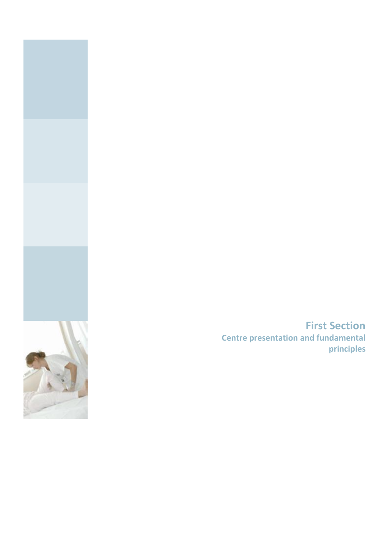

**First Section Centre presentation and fundamental principles**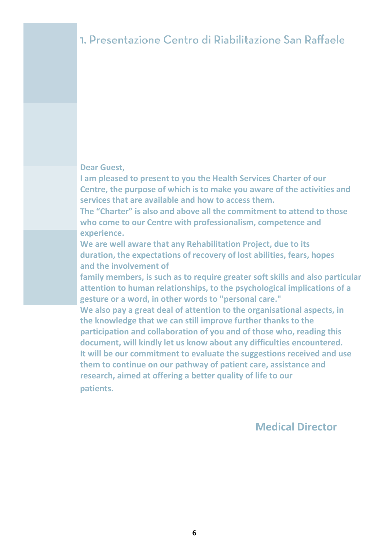#### **Dear Guest,**

**I am pleased to present to you the Health Services Charter of our Centre, the purpose of which is to make you aware of the activities and services that are available and how to access them.**

**The "Charter" is also and above all the commitment to attend to those who come to our Centre with professionalism, competence and experience.**

**We are well aware that any Rehabilitation Project, due to its duration, the expectations of recovery of lost abilities, fears, hopes and the involvement of**

**family members, is such as to require greater soft skills and also particular attention to human relationships, to the psychological implications of a gesture or a word, in other words to "personal care."**

**We also pay a great deal of attention to the organisational aspects, in the knowledge that we can still improve further thanks to the participation and collaboration of you and of those who, reading this document, will kindly let us know about any difficulties encountered. It will be our commitment to evaluate the suggestions received and use them to continue on our pathway of patient care, assistance and research, aimed at offering a better quality of life to our patients.**

## **Medical Director**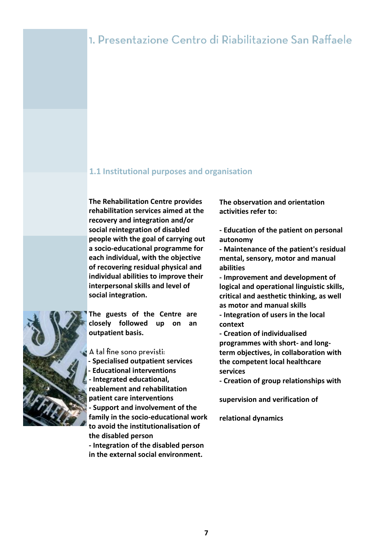# 1. Presentazione Centro di Riabilitazione San Raffaele

#### **1.1 Institutional purposes and organisation**

**The Rehabilitation Centre provides rehabilitation services aimed at the recovery and integration and/or social reintegration of disabled people with the goal of carrying out a socio-educational programme for each individual, with the objective of recovering residual physical and individual abilities to improve their interpersonal skills and level of social integration.**

**The guests of the Centre are closely followed up on an outpatient basis.**

A tal fine sono previsti:

- **- Specialised outpatient services**
- **- Educational interventions - Integrated educational,**

**reablement and rehabilitation** 

**patient care interventions**

**- Support and involvement of the family in the socio-educational work to avoid the institutionalisation of the disabled person - Integration of the disabled person** 

**in the external social environment.**

**The observation and orientation activities refer to:**

**- Education of the patient on personal autonomy**

**- Maintenance of the patient's residual mental, sensory, motor and manual abilities**

**- Improvement and development of logical and operational linguistic skills, critical and aesthetic thinking, as well as motor and manual skills**

**- Integration of users in the local context**

**- Creation of individualised programmes with short- and longterm objectives, in collaboration with the competent local healthcare services**

**- Creation of group relationships with** 

**supervision and verification of** 

**relational dynamics**

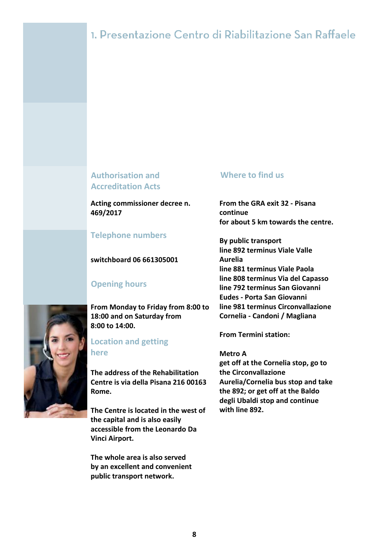# 1. Presentazione Centro di Riabilitazione San Raffaele

## **Authorisation and Accreditation Acts**

**Acting commissioner decree n. 469/2017**

## **Telephone numbers**

#### **switchboard 06 661305001**

## **Opening hours**

**From Monday to Friday from 8:00 to 18:00 and on Saturday from 8:00 to 14:00.**

#### **Location and getting here**

**The address of the Rehabilitation Centre is via della Pisana 216 00163 Rome.**

**The Centre is located in the west of the capital and is also easily accessible from the Leonardo Da Vinci Airport.**

**The whole area is also served by an excellent and convenient public transport network.**

#### **Where to find us**

**From the GRA exit 32 - Pisana continue for about 5 km towards the centre.**

**By public transport line 892 terminus Viale Valle Aurelia line 881 terminus Viale Paola line 808 terminus Via del Capasso line 792 terminus San Giovanni Eudes - Porta San Giovanni line 981 terminus Circonvallazione Cornelia - Candoni / Magliana**

**From Termini station:**

**Metro A get off at the Cornelia stop, go to the Circonvallazione Aurelia/Cornelia bus stop and take the 892; or get off at the Baldo degli Ubaldi stop and continue with line 892.**

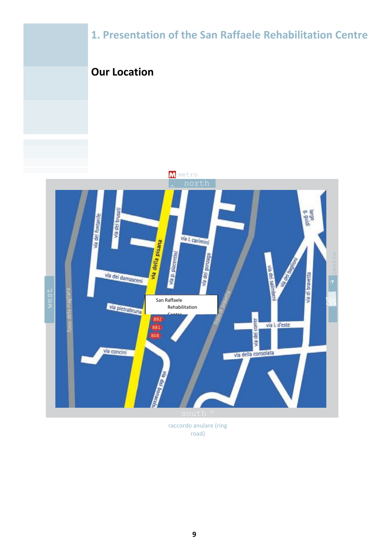

raccordo anulare (ring road)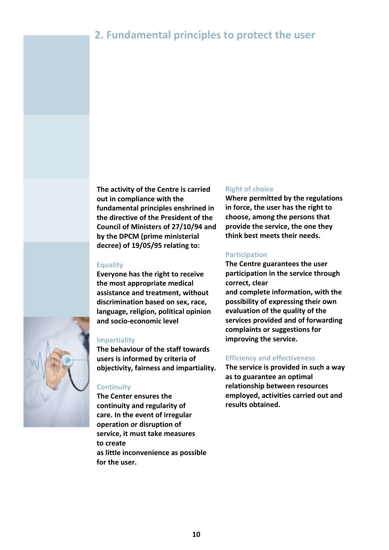# **2. Fundamental principles to protect the user**



**The activity of the Centre is carried out in compliance with the fundamental principles enshrined in the directive of the President of the Council of Ministers of 27/10/94 and by the DPCM (prime ministerial decree) of 19/05/95 relating to:**

#### **Equality**

**Everyone has the right to receive the most appropriate medical assistance and treatment, without discrimination based on sex, race, language, religion, political opinion and socio-economic level**

#### **Impartiality**

**The behaviour of the staff towards users is informed by criteria of objectivity, fairness and impartiality.**

## **Continuity**

**The Center ensures the continuity and regularity of care. In the event of irregular operation or disruption of service, it must take measures to create as little inconvenience as possible for the user.**

#### **Right of choice**

**Where permitted by the regulations in force, the user has the right to choose, among the persons that provide the service, the one they think best meets their needs.**

#### **Participation**

**The Centre guarantees the user participation in the service through correct, clear and complete information, with the possibility of expressing their own evaluation of the quality of the services provided and of forwarding complaints or suggestions for improving the service.**

#### **Efficiency and effectiveness**

**The service is provided in such a way as to guarantee an optimal relationship between resources employed, activities carried out and results obtained.**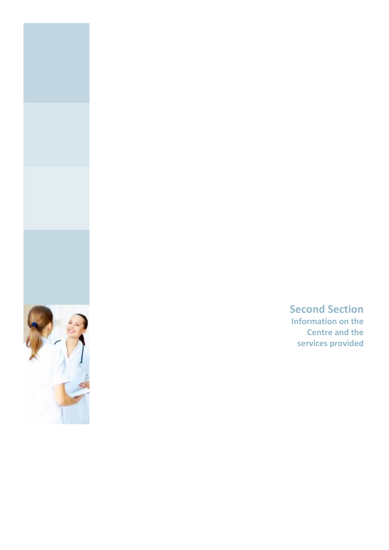

**Second Section Information on the Centre and the services provided**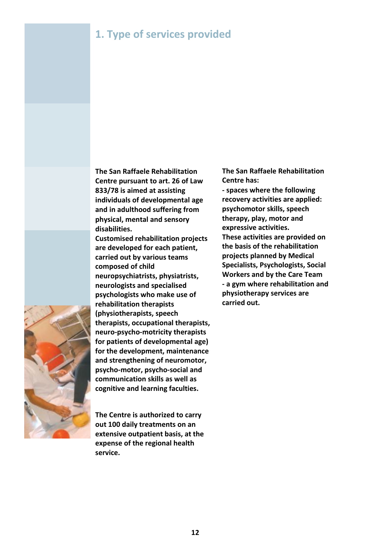# **1. Type of services provided**



**The San Raffaele Rehabilitation Centre pursuant to art. 26 of Law 833/78 is aimed at assisting individuals of developmental age and in adulthood suffering from physical, mental and sensory disabilities.**

**Customised rehabilitation projects are developed for each patient, carried out by various teams composed of child neuropsychiatrists, physiatrists, neurologists and specialised psychologists who make use of rehabilitation therapists (physiotherapists, speech therapists, occupational therapists, neuro-psycho-motricity therapists for patients of developmental age) for the development, maintenance and strengthening of neuromotor, psycho-motor, psycho-social and communication skills as well as cognitive and learning faculties.**

**The Centre is authorized to carry out 100 daily treatments on an extensive outpatient basis, at the expense of the regional health service.**

**The San Raffaele Rehabilitation Centre has:**

**- spaces where the following recovery activities are applied: psychomotor skills, speech therapy, play, motor and expressive activities. These activities are provided on the basis of the rehabilitation projects planned by Medical Specialists, Psychologists, Social Workers and by the Care Team - a gym where rehabilitation and physiotherapy services are carried out.**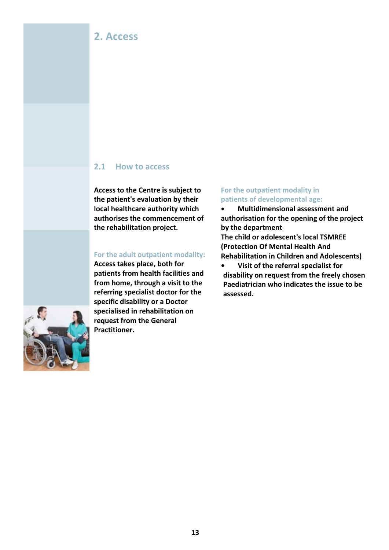## **2. Access**

#### **2.1 How to access**

**Access to the Centre is subject to the patient's evaluation by their local healthcare authority which authorises the commencement of the rehabilitation project.**

#### **For the adult outpatient modality:**

**Access takes place, both for patients from health facilities and from home, through a visit to the referring specialist doctor for the specific disability or a Doctor specialised in rehabilitation on request from the General Practitioner.**

#### **For the outpatient modality in patients of developmental age:**

**• Multidimensional assessment and authorisation for the opening of the project by the department**

**The child or adolescent's local TSMREE (Protection Of Mental Health And Rehabilitation in Children and Adolescents)**

**• Visit of the referral specialist for disability on request from the freely chosen Paediatrician who indicates the issue to be assessed.**

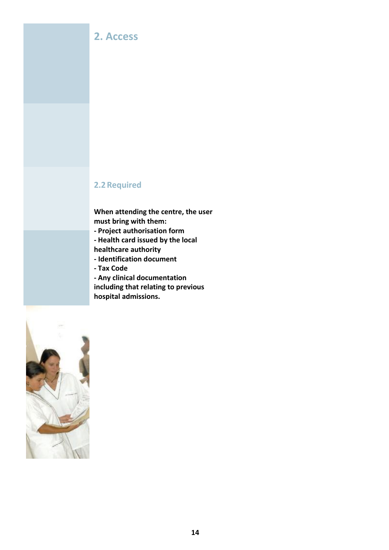## **2. Access**

## **2.2Required**

**When attending the centre, the user must bring with them:**

- **- Project authorisation form**
- **- Health card issued by the local**
- **healthcare authority**
- **- Identification document**
- **- Tax Code**
- **- Any clinical documentation including that relating to previous hospital admissions.**

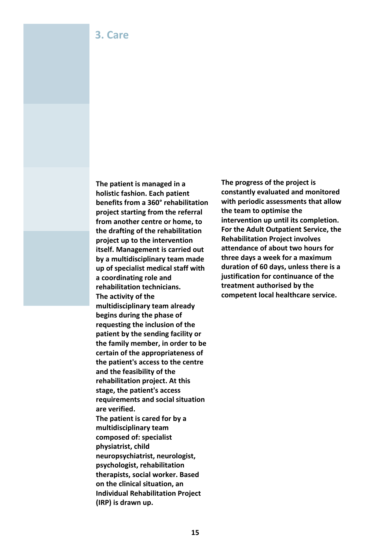**The patient is managed in a holistic fashion. Each patient benefits from a 360° rehabilitation project starting from the referral from another centre or home, to the drafting of the rehabilitation project up to the intervention itself. Management is carried out by a multidisciplinary team made up of specialist medical staff with a coordinating role and rehabilitation technicians. The activity of the multidisciplinary team already begins during the phase of requesting the inclusion of the patient by the sending facility or the family member, in order to be certain of the appropriateness of the patient's access to the centre and the feasibility of the rehabilitation project. At this stage, the patient's access requirements and social situation are verified. The patient is cared for by a multidisciplinary team composed of: specialist physiatrist, child neuropsychiatrist, neurologist, psychologist, rehabilitation therapists, social worker. Based on the clinical situation, an Individual Rehabilitation Project (IRP) is drawn up.**

**The progress of the project is constantly evaluated and monitored with periodic assessments that allow the team to optimise the intervention up until its completion. For the Adult Outpatient Service, the Rehabilitation Project involves attendance of about two hours for three days a week for a maximum duration of 60 days, unless there is a justification for continuance of the treatment authorised by the competent local healthcare service.**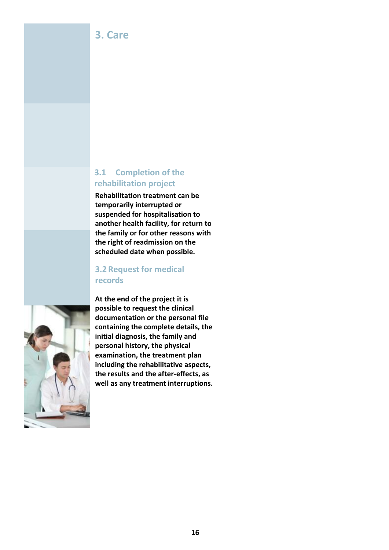## **3. Care**

## **3.1 Completion of the rehabilitation project**

**Rehabilitation treatment can be temporarily interrupted or suspended for hospitalisation to another health facility, for return to the family or for other reasons with the right of readmission on the scheduled date when possible.**

## **3.2 Request for medical records**



**At the end of the project it is possible to request the clinical documentation or the personal file containing the complete details, the initial diagnosis, the family and personal history, the physical examination, the treatment plan including the rehabilitative aspects, the results and the after-effects, as well as any treatment interruptions.**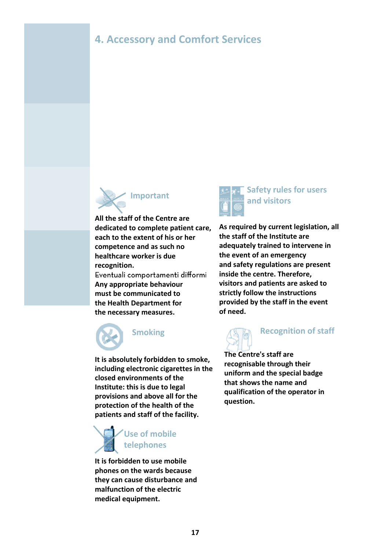# **4. Accessory and Comfort Services**



**All the staff of the Centre are dedicated to complete patient care, each to the extent of his or her competence and as such no healthcare worker is due recognition.**

Eventuali comportamenti difformi **Any appropriate behaviour must be communicated to the Health Department for the necessary measures.**



**Smoking**

**It is absolutely forbidden to smoke, including electronic cigarettes in the closed environments of the Institute: this is due to legal provisions and above all for the protection of the health of the patients and staff of the facility.**



**It is forbidden to use mobile phones on the wards because they can cause disturbance and malfunction of the electric medical equipment.**



## **Safety rules for users and visitors**

**As required by current legislation, all the staff of the Institute are adequately trained to intervene in the event of an emergency and safety regulations are present inside the centre. Therefore, visitors and patients are asked to strictly follow the instructions provided by the staff in the event of need.**



# **Recognition of staff**

**The Centre's staff are recognisable through their uniform and the special badge that shows the name and qualification of the operator in question.**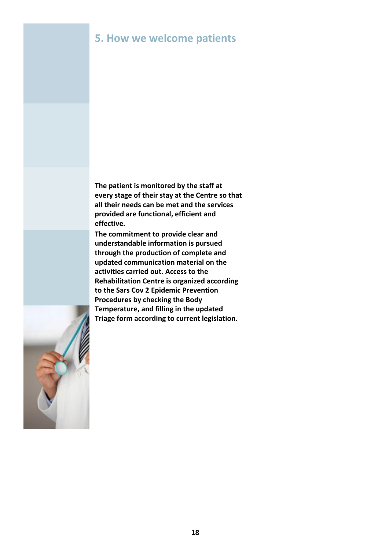## **5. How we welcome patients**

**The patient is monitored by the staff at every stage of their stay at the Centre so that all their needs can be met and the services provided are functional, efficient and effective.**

**The commitment to provide clear and understandable information is pursued through the production of complete and updated communication material on the activities carried out. Access to the Rehabilitation Centre is organized according to the Sars Cov 2 Epidemic Prevention Procedures by checking the Body Temperature, and filling in the updated Triage form according to current legislation.**

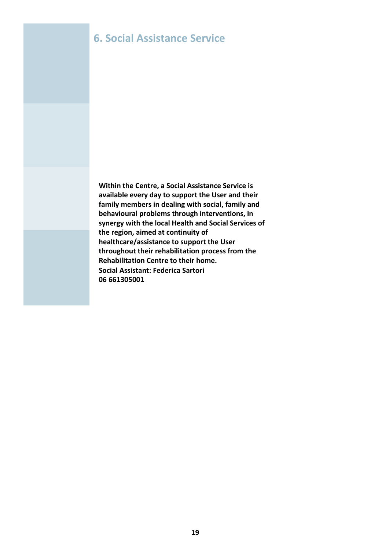## **6. Social Assistance Service**

**Within the Centre, a Social Assistance Service is available every day to support the User and their family members in dealing with social, family and behavioural problems through interventions, in synergy with the local Health and Social Services of the region, aimed at continuity of healthcare/assistance to support the User throughout their rehabilitation process from the Rehabilitation Centre to their home. Social Assistant: Federica Sartori 06 661305001**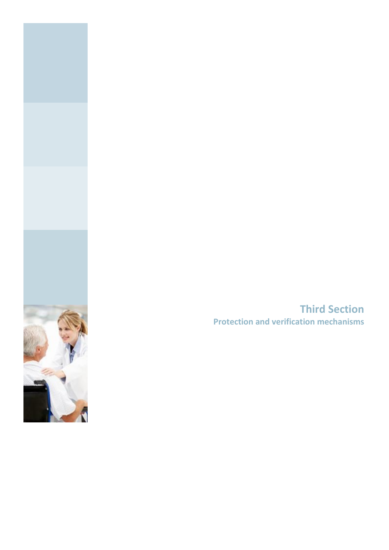

**Third Section Protection and verification mechanisms**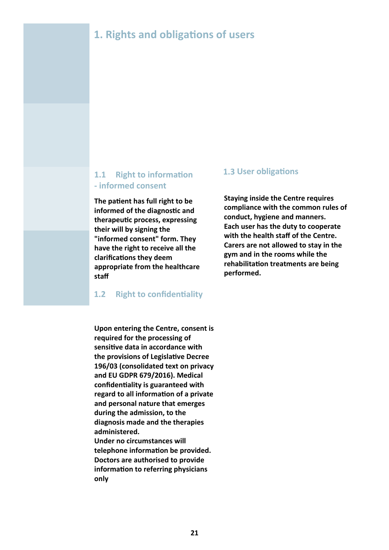# **1. Rights and obligations of users**

## **1.1 Right to information - informed consent**

**The patient has full right to be informed of the diagnostic and therapeutic process, expressing their will by signing the "informed consent" form. They have the right to receive all the clarifications they deem appropriate from the healthcare staff**

#### **1.2 Right to confidentiality**

**Upon entering the Centre, consent is required for the processing of sensitive data in accordance with the provisions of Legislative Decree 196/03 (consolidated text on privacy and EU GDPR 679/2016). Medical confidentiality is guaranteed with regard to all information of a private and personal nature that emerges during the admission, to the diagnosis made and the therapies administered. Under no circumstances will telephone information be provided. Doctors are authorised to provide**

**information to referring physicians only**

#### **1.3 User obligations**

**Staying inside the Centre requires compliance with the common rules of conduct, hygiene and manners. Each user has the duty to cooperate with the health staff of the Centre. Carers are not allowed to stay in the gym and in the rooms while the rehabilitation treatments are being performed.**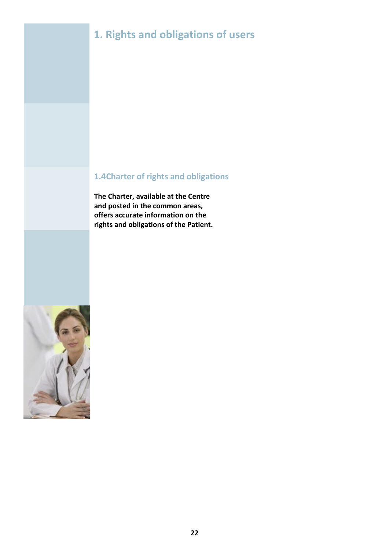# **1. Rights and obligations of users**

## **1.4Charter of rights and obligations**

**The Charter, available at the Centre and posted in the common areas, offers accurate information on the rights and obligations of the Patient.**